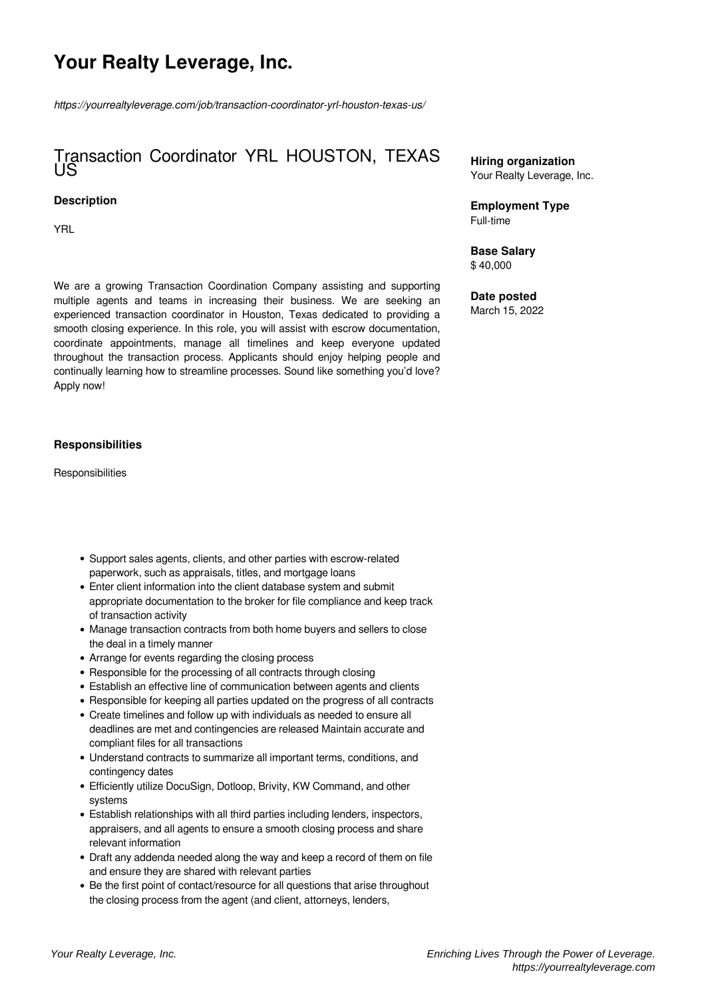# **Your Realty Leverage, Inc.**

*https://yourrealtyleverage.com/job/transaction-coordinator-yrl-houston-texas-us/*

# Transaction Coordinator YRL HOUSTON, TEXAS US

#### **Description**

YRL

We are a growing Transaction Coordination Company assisting and supporting multiple agents and teams in increasing their business. We are seeking an experienced transaction coordinator in Houston, Texas dedicated to providing a smooth closing experience. In this role, you will assist with escrow documentation, coordinate appointments, manage all timelines and keep everyone updated throughout the transaction process. Applicants should enjoy helping people and continually learning how to streamline processes. Sound like something you'd love? Apply now!

## **Responsibilities**

**Responsibilities** 

- Support sales agents, clients, and other parties with escrow-related paperwork, such as appraisals, titles, and mortgage loans
- Enter client information into the client database system and submit appropriate documentation to the broker for file compliance and keep track of transaction activity
- Manage transaction contracts from both home buyers and sellers to close the deal in a timely manner
- Arrange for events regarding the closing process
- Responsible for the processing of all contracts through closing
- Establish an effective line of communication between agents and clients
- Responsible for keeping all parties updated on the progress of all contracts
- Create timelines and follow up with individuals as needed to ensure all deadlines are met and contingencies are released Maintain accurate and compliant files for all transactions
- Understand contracts to summarize all important terms, conditions, and contingency dates
- Efficiently utilize DocuSign, Dotloop, Brivity, KW Command, and other systems
- Establish relationships with all third parties including lenders, inspectors, appraisers, and all agents to ensure a smooth closing process and share relevant information
- Draft any addenda needed along the way and keep a record of them on file and ensure they are shared with relevant parties
- Be the first point of contact/resource for all questions that arise throughout the closing process from the agent (and client, attorneys, lenders,

**Hiring organization** Your Realty Leverage, Inc.

**Employment Type** Full-time

**Base Salary** \$ 40,000

**Date posted** March 15, 2022